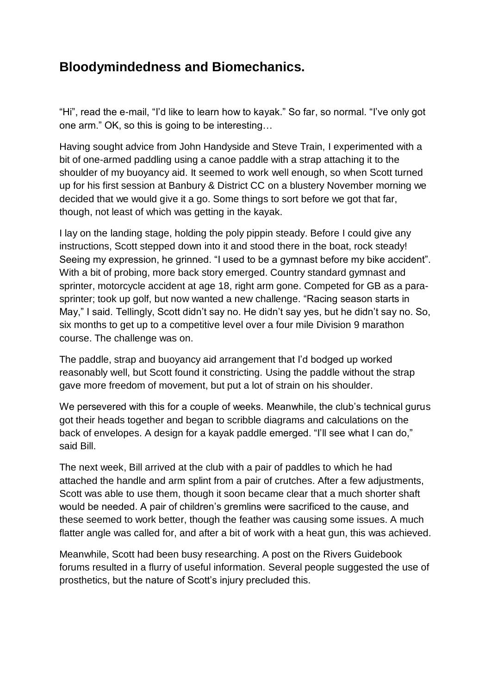## **Bloodymindedness and Biomechanics.**

"Hi", read the e-mail, "I'd like to learn how to kayak." So far, so normal. "I've only got one arm." OK, so this is going to be interesting…

Having sought advice from John Handyside and Steve Train, I experimented with a bit of one-armed paddling using a canoe paddle with a strap attaching it to the shoulder of my buoyancy aid. It seemed to work well enough, so when Scott turned up for his first session at Banbury & District CC on a blustery November morning we decided that we would give it a go. Some things to sort before we got that far, though, not least of which was getting in the kayak.

I lay on the landing stage, holding the poly pippin steady. Before I could give any instructions, Scott stepped down into it and stood there in the boat, rock steady! Seeing my expression, he grinned. "I used to be a gymnast before my bike accident". With a bit of probing, more back story emerged. Country standard gymnast and sprinter, motorcycle accident at age 18, right arm gone. Competed for GB as a parasprinter; took up golf, but now wanted a new challenge. "Racing season starts in May," I said. Tellingly, Scott didn't say no. He didn't say yes, but he didn't say no. So, six months to get up to a competitive level over a four mile Division 9 marathon course. The challenge was on.

The paddle, strap and buoyancy aid arrangement that I'd bodged up worked reasonably well, but Scott found it constricting. Using the paddle without the strap gave more freedom of movement, but put a lot of strain on his shoulder.

We persevered with this for a couple of weeks. Meanwhile, the club's technical gurus got their heads together and began to scribble diagrams and calculations on the back of envelopes. A design for a kayak paddle emerged. "I'll see what I can do," said Bill.

The next week, Bill arrived at the club with a pair of paddles to which he had attached the handle and arm splint from a pair of crutches. After a few adjustments, Scott was able to use them, though it soon became clear that a much shorter shaft would be needed. A pair of children's gremlins were sacrificed to the cause, and these seemed to work better, though the feather was causing some issues. A much flatter angle was called for, and after a bit of work with a heat gun, this was achieved.

Meanwhile, Scott had been busy researching. A post on the Rivers Guidebook forums resulted in a flurry of useful information. Several people suggested the use of prosthetics, but the nature of Scott's injury precluded this.